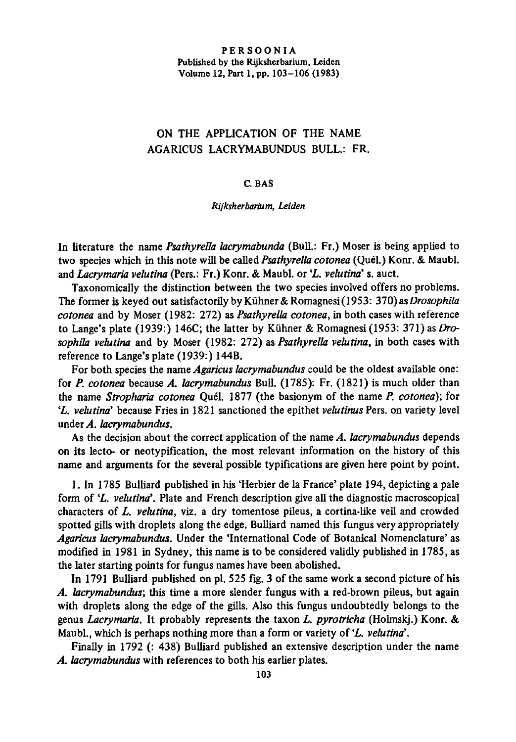# PERSOONIA Published by the Rijksherbarium, Leiden Volume 12, Part 1, pp. 103-106 (1983)

# On the application of the name Agaricus Lacrymabundus Bull.: Fr.

### C. Bas

# Rijksherbarium, Leiden

In literature the name *Psathyrella lacrymabunda* (Bull.: Fr.) Moser is being applied to two species which in this note will be called Psathyrella cotonea (Quél.) Konr. & Maubl. and *Lacrymaria velutina* (Pers.: Fr.) Konr. & Maubl. or 'L. velutina' s. auct.

Taxonomically the distinction between the two species involved offers no problems. The former is keyed out satisfactorily by Kühner & Romagnesi(1953: 370) as Drosophila cotonea and by Moser (1982: 272) as Psathyrella cotonea, in both cases with reference to Lange's plate (1939:) 146C; the latter by Kühner & Romagnesi (1953: 371) as Drosophila velutina and by Moser (1982: 272) as *Psathyrella velutina*, in both cases with reference to Lange's plate (1939:) 144B.

For both species the name Agaricus lacrymabundus could be the oldest available one: for P. cotonea because A. lacrymabundus Bull. (1785): Fr. (1821) is much older than the name Stropharia cotonea Quel. 1877 (the basionym of the name P. cotonea); for 'L. velutina' because Fries in 1821 sanctioned the epithet velutinus Pers. on variety level under A. lacrymabundus.

As the decision about the correct application of the name A. lacrymabundus depends on its lecto- or neotypification, the most relevant information on the history of this name and arguments for the several possible typifications are given here point by point.

1. In 1785 Bulliard published in his 'Herbier de la France' plate 194, depicting <sup>a</sup> pale form of 'L. velutina'. Plate and French description give all the diagnostic macroscopical characters of  $L$ . *velutina*, viz. a dry tomentose pileus, a cortina-like veil and crowded spotted gills with droplets along the edge. Bulliard named this fungus very appropriately Agaricus lacrymabundus. Under the 'International Code of Botanical Nomenclature' as modified in 1981 in Sydney, this name is to be considered validly published in 1785, as the later starting points for fungus names have been abolished.

In <sup>1791</sup> Bulliard published on pi. <sup>525</sup> fig. <sup>3</sup> of the same work <sup>a</sup> second picture of his A. lacrymabundus; this time <sup>a</sup> more slender fungus with <sup>a</sup> red-brown pileus, but again with droplets along the edge of the gills. Also this fungus undoubtedly belongs to the genus Lacrymaria. It probably represents the taxon L. pyrotricha (Holmskj.) Konr. & Maubl., which is perhaps nothing more than a form or variety of 'L. velutina'.

Finally in 1792 (: 438) Bulliard published an extensive description under the name A. lacrymabundus with references to both his earlier plates.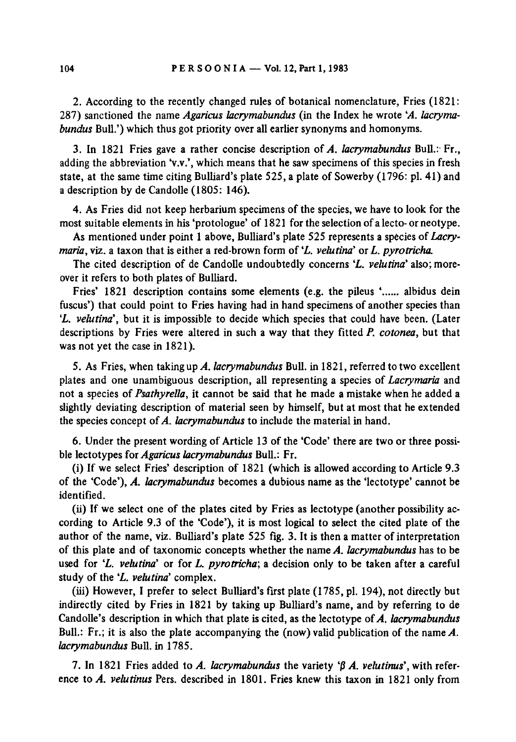2. According to the recently changed rules of botanical nomenclature, Fries (1821: 287) sanctioned the name Agaricus lacrymabundus (in the Index he wrote 'A. lacrymabundus Bull.') which thus got priority over all earlier synonyms and homonyms.

3. In 1821 Fries gave a rather concise description of A. lacrymabundus Bull.: Fr., adding the abbreviation 'v.v.', which means that he saw specimens of this species in fresh state, at the same time citing Bulliard's plate  $525$ , a plate of Sowerby (1796: pl. 41) and <sup>a</sup> description by de Candolle (1805: 146).

4. As Fries did not keep herbarium specimens of the species, we have to look for the most suitable elements in his 'protologue' of 1821 for the selection of a lecto- or neotype.

As mentioned under point 1 above, Bulliard's plate 525 represents a species of Lacrymaria, viz. a taxon that is either a red-brown form of 'L. velutina' or L. pyrotricha.

The cited description of de Candolle undoubtedly concerns '*L. velutina*' also; more over it refers to both plates of Bulliard.

Fries' 1821 description contains some elements (e.g. the pileus '...... albidus dein fuscus') that could point to Fries having had in hand specimens of another species than 'L. velutina', but it is impossible to decide which species that could have been. (Later descriptions by Fries were altered in such a way that they fitted  $P$ , cotonea, but that was not yet the case in 1821).

5. As Fries, when taking up A. lacrymabundus Bull, in 1821, referred to two excellent plates and one unambiguous description, all representing <sup>a</sup> species of Lacrymaria and not a species of Psathyrella, it cannot be said that he made a mistake when he added a slightly deviating description of material seen by himself, but at most that he extended the species concept of  $A$ . *lacrymabundus* to include the material in hand.

6. Under the present wording of Article 13 of the 'Code' there are two or three possible lectotypes for Agaricus lacrymabundus Bull.: Fr.

(i) If we select Fries' description of <sup>1821</sup> (which is allowed according to Article 9.3 of the 'Code'), A. lacrymabundus becomes <sup>a</sup> dubious name as the 'lectotype' cannot be identified.

(ii) If we select one of the plates cited by Fries as lectotype (another possibility according to Article 9.3 of the 'Code'), it is most logical to select the cited plate of the author of the name, viz. Bulliard's plate 525 fig. 3. It is then <sup>a</sup> matter of interpretation of this plate and of taxonomic concepts whether the name  $A$ . lacrymabundus has to be used for 'L. velutina' or for L. pyrotricha; a decision only to be taken after a careful study of the 'L. velutina' complex.

(iii) However, <sup>I</sup> prefer to select Bulliard's first plate (1785, pi. 194), not directly but indirectly cited by Fries in 1821 by taking up Bulliard's name, and by referring to de Candolle's description in which that plate is cited, as the lectotype of  $A$ . lacrymabundus Bull.: Fr.; it is also the plate accompanying the (now) valid publication of the name  $A$ . lacrymabundus Bull, in 1785.

7. In 1821 Fries added to A. lacrymabundus the variety  $\beta$  A. velutinus', with reference to A. velutinus Pers. described in 1801. Fries knew this taxon in 1821 only from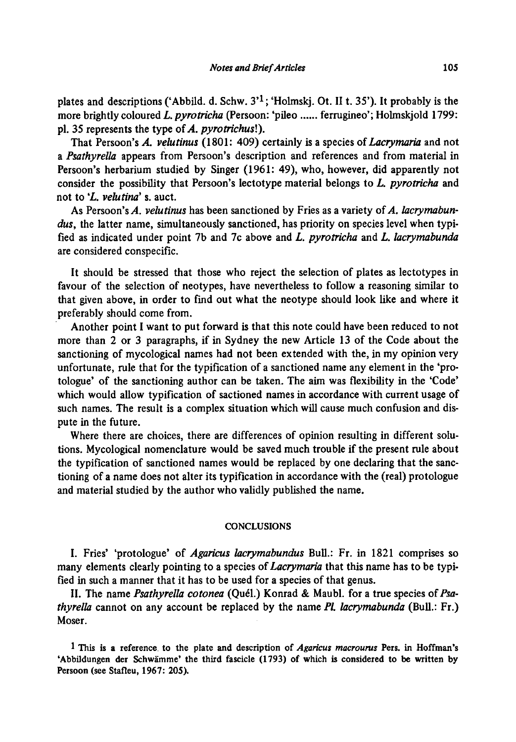plates and descriptions ('Abbild. d. Schw. 3'<sup>1</sup>; 'Holmskj. Ot. II t. 35'). It probably is the more brightly coloured L. pyrotricha (Persoon: 'pileo ...... ferrugineo'; Holmskjold 1799: pl. 35 represents the type of  $A$ . pyrotrichus!).

That Persoon's A. velutinus (1801: 409) certainly is a species of Lacrymaria and not <sup>a</sup> Psathyrella appears from Persoon's description and references and from material in Persoon's herbarium studied by Singer (1961: 49), who, however, did apparently not consider the possibility that Persoon's lectotype material belongs to  $L$ , pyrotricha and not to 'L. velutina' s. auct.

As Persoon's A. velutinus has been sanctioned by Fries as a variety of A. lacrymabundus, the latter name, simultaneously sanctioned, has priority on species level when typified as indicated under point 7b and 7c above and L. pyrotricha and L. lacrymabunda are considered conspecific.

It should be stressed that those who reject the selection of plates as lectotypes in favour of the selection of neotypes, have nevertheless to follow <sup>a</sup> reasoning similar to that given above, in order to find out what the neotype should look like and where it preferably should come from.

Another point I want to put forward is that this note could have been reduced to not more than <sup>2</sup> or <sup>3</sup> paragraphs, if in Sydney the new Article <sup>13</sup> of the Code about the sanctioning of mycological names had not been extended with the, in my opinion very unfortunate, rule that for the typification of <sup>a</sup> sanctioned name any element in the 'protologue' of the sanctioning author can be taken. The aim was flexibility in the 'Code' which would allow typification of sactioned names in accordance with current usage of such names. The result is <sup>a</sup> complex situation which will cause much confusion and dispute in the future.

Where there are choices, there are differences of opinion resulting in different solutions. Mycological nomenclature would be saved much trouble ifthe present rule about the typification of sanctioned names would be replaced by one declaring that the sanctioning of a name does not alter its typification in accordance with the (real) protologue and material studied by the author who validly published the name.

#### **CONCLUSIONS**

I. Fries' 'protologue' of *Agaricus lacrymabundus* Bull.: Fr. in 1821 comprises so many elements clearly pointing to a species of *Lacrymaria* that this name has to be typified in such <sup>a</sup> manner that it has to be used for <sup>a</sup> species of that genus.

II. The name Psathyrella cotonea (Quel.) Konrad & Maubl. for <sup>a</sup> true species of Psa*thyrella* cannot on any account be replaced by the name  $Pl$ . *lacrymabunda* (Bull.: Fr.) Moser.

1 This is a reference to the plate and description of  $Agaricus$  macrourus Pers. in Hoffman's 'Abbildungen der Schwamme' the third fascicle (1793) of which is considered to be written by Persoon (see Stafleu, 1967: 205).